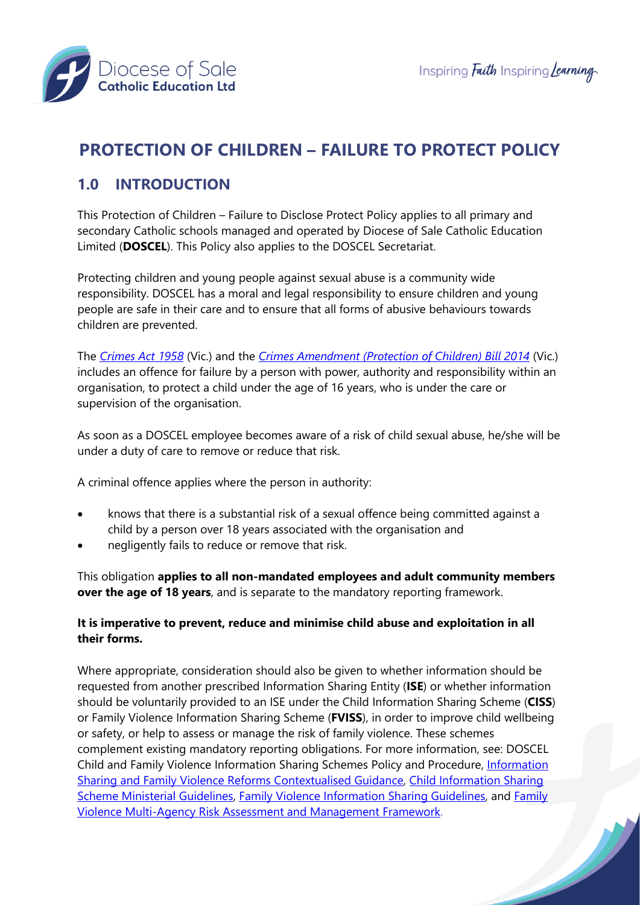



# **PROTECTION OF CHILDREN – FAILURE TO PROTECT POLICY**

### **1.0 INTRODUCTION**

This Protection of Children – Failure to Disclose Protect Policy applies to all primary and secondary Catholic schools managed and operated by Diocese of Sale Catholic Education Limited (**DOSCEL**). This Policy also applies to the DOSCEL Secretariat.

Protecting children and young people against sexual abuse is a community wide responsibility. DOSCEL has a moral and legal responsibility to ensure children and young people are safe in their care and to ensure that all forms of abusive behaviours towards children are prevented.

The *[Crimes Act 1958](http://classic.austlii.edu.au/au/legis/vic/consol_act/ca195882/)* (Vic.) and the *[Crimes Amendment \(Protection of Children\) Bill 2014](http://www5.austlii.edu.au/au/legis/vic/bill/caocb2014381/)* (Vic.) includes an offence for failure by a person with power, authority and responsibility within an organisation, to protect a child under the age of 16 years, who is under the care or supervision of the organisation.

As soon as a DOSCEL employee becomes aware of a risk of child sexual abuse, he/she will be under a duty of care to remove or reduce that risk.

A criminal offence applies where the person in authority:

- knows that there is a substantial risk of a sexual offence being committed against a child by a person over 18 years associated with the organisation and
- negligently fails to reduce or remove that risk.

This obligation **applies to all non-mandated employees and adult community members over the age of 18 years**, and is separate to the mandatory reporting framework.

#### **It is imperative to prevent, reduce and minimise child abuse and exploitation in all their forms.**

Where appropriate, consideration should also be given to whether information should be requested from another prescribed Information Sharing Entity (**ISE**) or whether information should be voluntarily provided to an ISE under the Child Information Sharing Scheme (**CISS**) or Family Violence Information Sharing Scheme (**FVISS**), in order to improve child wellbeing or safety, or help to assess or manage the risk of family violence. These schemes complement existing mandatory reporting obligations. For more information, see: DOSCEL Child and Family Violence Information Sharing Schemes Policy and Procedure, [Information](https://www.education.vic.gov.au/Documents/school/teachers/health/V10_Info%20Sharing%20and%20Family%20Violence%20Reforms%20Contextualised%20Guidance.pdf)  [Sharing and Family Violence Reforms Contextualised Guidance,](https://www.education.vic.gov.au/Documents/school/teachers/health/V10_Info%20Sharing%20and%20Family%20Violence%20Reforms%20Contextualised%20Guidance.pdf) [Child Information Sharing](https://www.vic.gov.au/sites/default/files/2019-01/Child%20Information%20Sharing%20Scheme%20Ministerial%20Guidlines%20-%20Guidance%20for%20information%20sharing%20entities.pdf)  [Scheme Ministerial Guidelines,](https://www.vic.gov.au/sites/default/files/2019-01/Child%20Information%20Sharing%20Scheme%20Ministerial%20Guidlines%20-%20Guidance%20for%20information%20sharing%20entities.pdf) [Family Violence Information Sharing Guidelines,](file:///C:/Users/mamerry/Downloads/Ministerial%20Guidelines%20-%20Family%20Violence%20Information%20Sharing%20Scheme.pdf) and [Family](https://www.vic.gov.au/sites/default/files/2019-01/Family%20violence%20multi-agency%20risk%20assessment%20and%20management%20framework.pdf)  [Violence Multi-Agency Risk Assessment and Management Framework.](https://www.vic.gov.au/sites/default/files/2019-01/Family%20violence%20multi-agency%20risk%20assessment%20and%20management%20framework.pdf)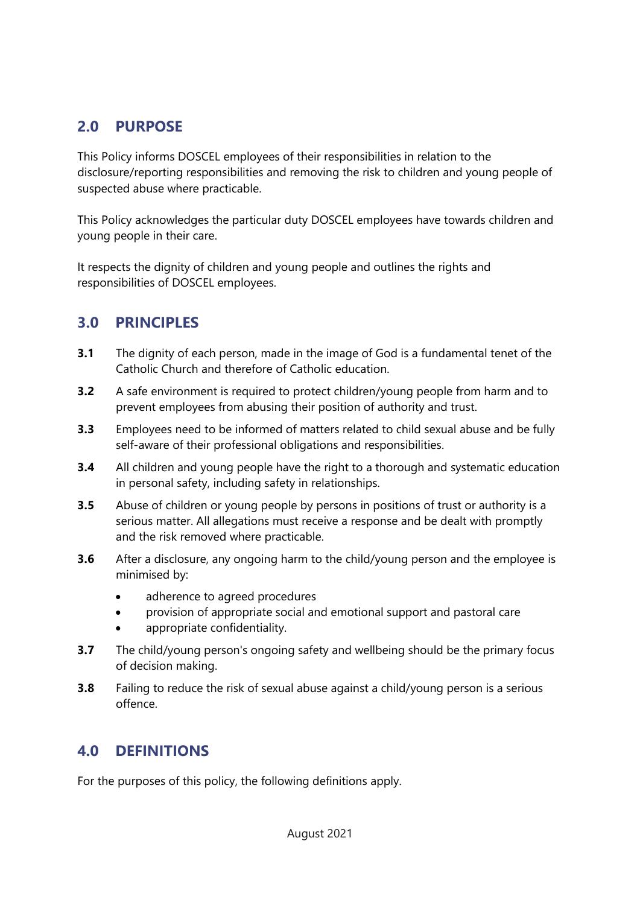## **2.0 PURPOSE**

This Policy informs DOSCEL employees of their responsibilities in relation to the disclosure/reporting responsibilities and removing the risk to children and young people of suspected abuse where practicable.

This Policy acknowledges the particular duty DOSCEL employees have towards children and young people in their care.

It respects the dignity of children and young people and outlines the rights and responsibilities of DOSCEL employees.

### **3.0 PRINCIPLES**

- **3.1** The dignity of each person, made in the image of God is a fundamental tenet of the Catholic Church and therefore of Catholic education.
- **3.2** A safe environment is required to protect children/young people from harm and to prevent employees from abusing their position of authority and trust.
- **3.3** Employees need to be informed of matters related to child sexual abuse and be fully self-aware of their professional obligations and responsibilities.
- **3.4** All children and young people have the right to a thorough and systematic education in personal safety, including safety in relationships.
- **3.5** Abuse of children or young people by persons in positions of trust or authority is a serious matter. All allegations must receive a response and be dealt with promptly and the risk removed where practicable.
- **3.6** After a disclosure, any ongoing harm to the child/young person and the employee is minimised by:
	- adherence to agreed procedures
	- provision of appropriate social and emotional support and pastoral care
	- appropriate confidentiality.
- **3.7** The child/young person's ongoing safety and wellbeing should be the primary focus of decision making.
- **3.8** Failing to reduce the risk of sexual abuse against a child/young person is a serious offence.

### **4.0 DEFINITIONS**

For the purposes of this policy, the following definitions apply.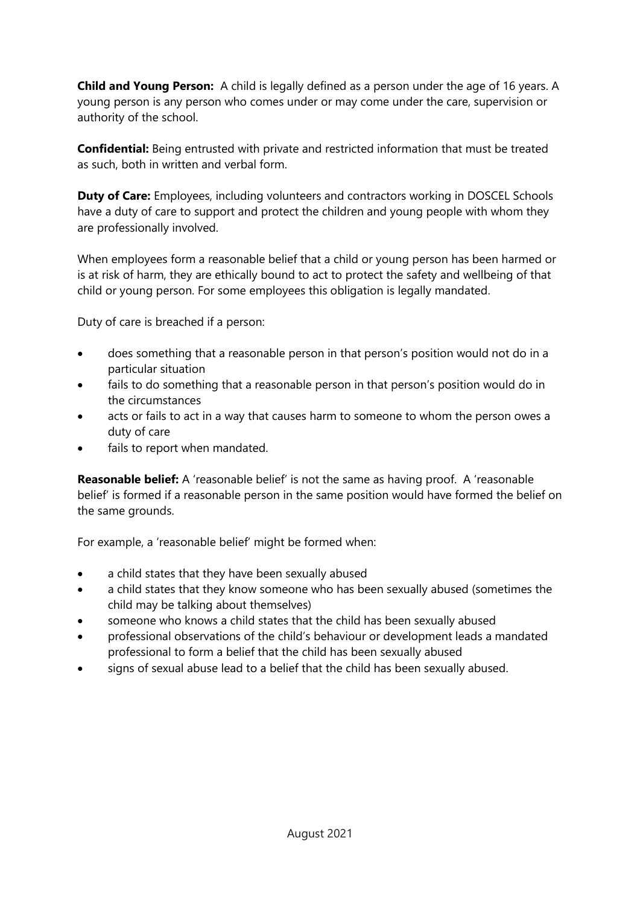**Child and Young Person:** A child is legally defined as a person under the age of 16 years. A young person is any person who comes under or may come under the care, supervision or authority of the school.

**Confidential:** Being entrusted with private and restricted information that must be treated as such, both in written and verbal form.

**Duty of Care:** Employees, including volunteers and contractors working in DOSCEL Schools have a duty of care to support and protect the children and young people with whom they are professionally involved.

When employees form a reasonable belief that a child or young person has been harmed or is at risk of harm, they are ethically bound to act to protect the safety and wellbeing of that child or young person. For some employees this obligation is legally mandated.

Duty of care is breached if a person:

- does something that a reasonable person in that person's position would not do in a particular situation
- fails to do something that a reasonable person in that person's position would do in the circumstances
- acts or fails to act in a way that causes harm to someone to whom the person owes a duty of care
- fails to report when mandated.

**Reasonable belief:** A 'reasonable belief' is not the same as having proof. A 'reasonable belief' is formed if a reasonable person in the same position would have formed the belief on the same grounds.

For example, a 'reasonable belief' might be formed when:

- a child states that they have been sexually abused
- a child states that they know someone who has been sexually abused (sometimes the child may be talking about themselves)
- someone who knows a child states that the child has been sexually abused
- professional observations of the child's behaviour or development leads a mandated professional to form a belief that the child has been sexually abused
- signs of sexual abuse lead to a belief that the child has been sexually abused.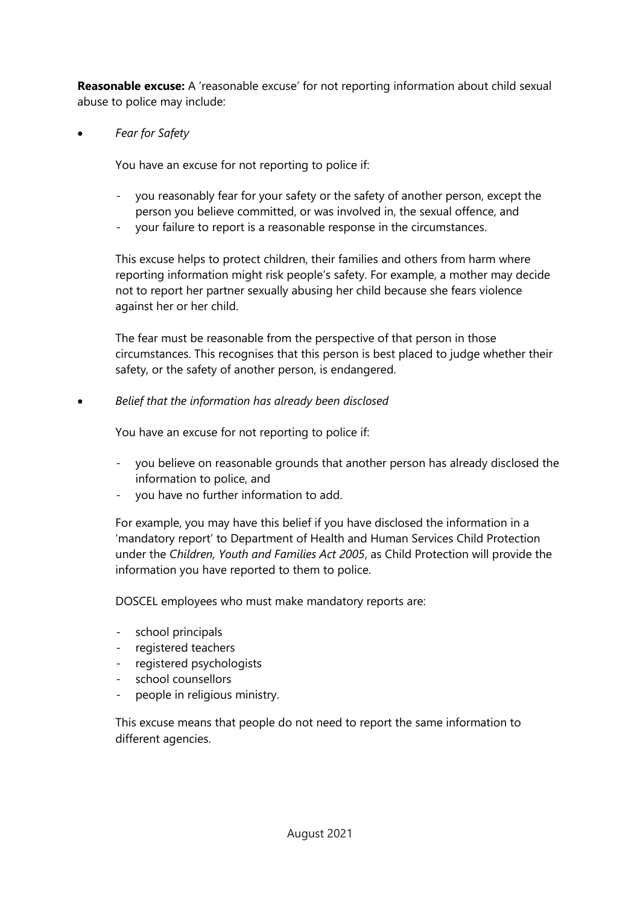**Reasonable excuse:** A 'reasonable excuse' for not reporting information about child sexual abuse to police may include:

• *Fear for Safety*

You have an excuse for not reporting to police if:

- you reasonably fear for your safety or the safety of another person, except the person you believe committed, or was involved in, the sexual offence, and
- your failure to report is a reasonable response in the circumstances.

This excuse helps to protect children, their families and others from harm where reporting information might risk people's safety. For example, a mother may decide not to report her partner sexually abusing her child because she fears violence against her or her child.

The fear must be reasonable from the perspective of that person in those circumstances. This recognises that this person is best placed to judge whether their safety, or the safety of another person, is endangered.

• *Belief that the information has already been disclosed*

You have an excuse for not reporting to police if:

- you believe on reasonable grounds that another person has already disclosed the information to police, and
- you have no further information to add.

For example, you may have this belief if you have disclosed the information in a 'mandatory report' to Department of Health and Human Services Child Protection under the *Children, Youth and Families Act 2005*, as Child Protection will provide the information you have reported to them to police.

DOSCEL employees who must make mandatory reports are:

- school principals
- registered teachers
- registered psychologists
- school counsellors
- people in religious ministry.

This excuse means that people do not need to report the same information to different agencies.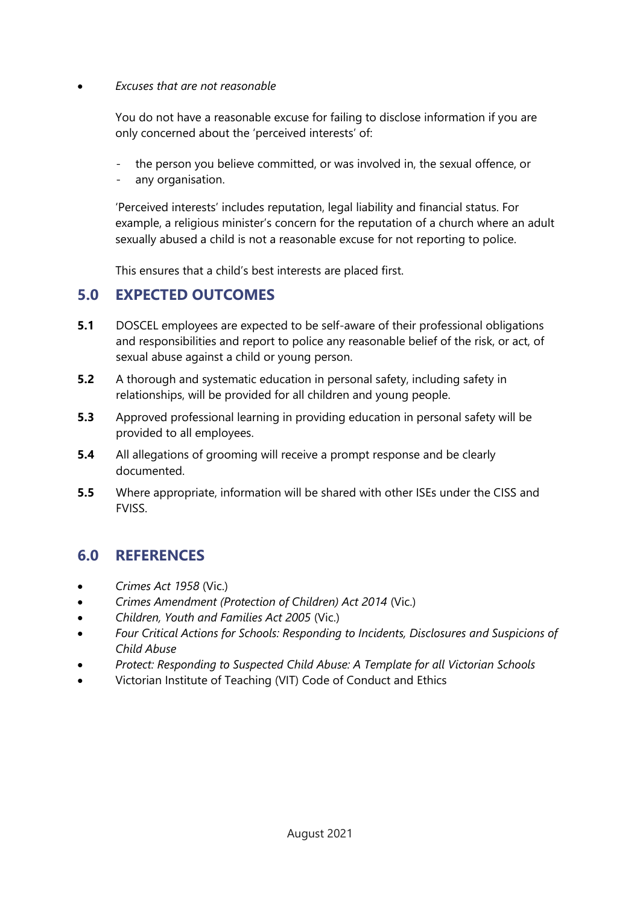#### • *Excuses that are not reasonable*

You do not have a reasonable excuse for failing to disclose information if you are only concerned about the 'perceived interests' of:

- the person you believe committed, or was involved in, the sexual offence, or
- any organisation.

'Perceived interests' includes reputation, legal liability and financial status. For example, a religious minister's concern for the reputation of a church where an adult sexually abused a child is not a reasonable excuse for not reporting to police.

This ensures that a child's best interests are placed first.

### **5.0 EXPECTED OUTCOMES**

- **5.1** DOSCEL employees are expected to be self-aware of their professional obligations and responsibilities and report to police any reasonable belief of the risk, or act, of sexual abuse against a child or young person.
- **5.2** A thorough and systematic education in personal safety, including safety in relationships, will be provided for all children and young people.
- **5.3** Approved professional learning in providing education in personal safety will be provided to all employees.
- **5.4** All allegations of grooming will receive a prompt response and be clearly documented.
- **5.5** Where appropriate, information will be shared with other ISEs under the CISS and **FVISS**

### **6.0 REFERENCES**

- *Crimes Act 1958* (Vic.)
- *Crimes Amendment (Protection of Children) Act 2014* (Vic.)
- *Children, Youth and Families Act 2005* (Vic.)
- *Four Critical Actions for Schools: Responding to Incidents, Disclosures and Suspicions of Child Abuse*
- *Protect: Responding to Suspected Child Abuse: A Template for all Victorian Schools*
- Victorian Institute of Teaching (VIT) Code of Conduct and Ethics